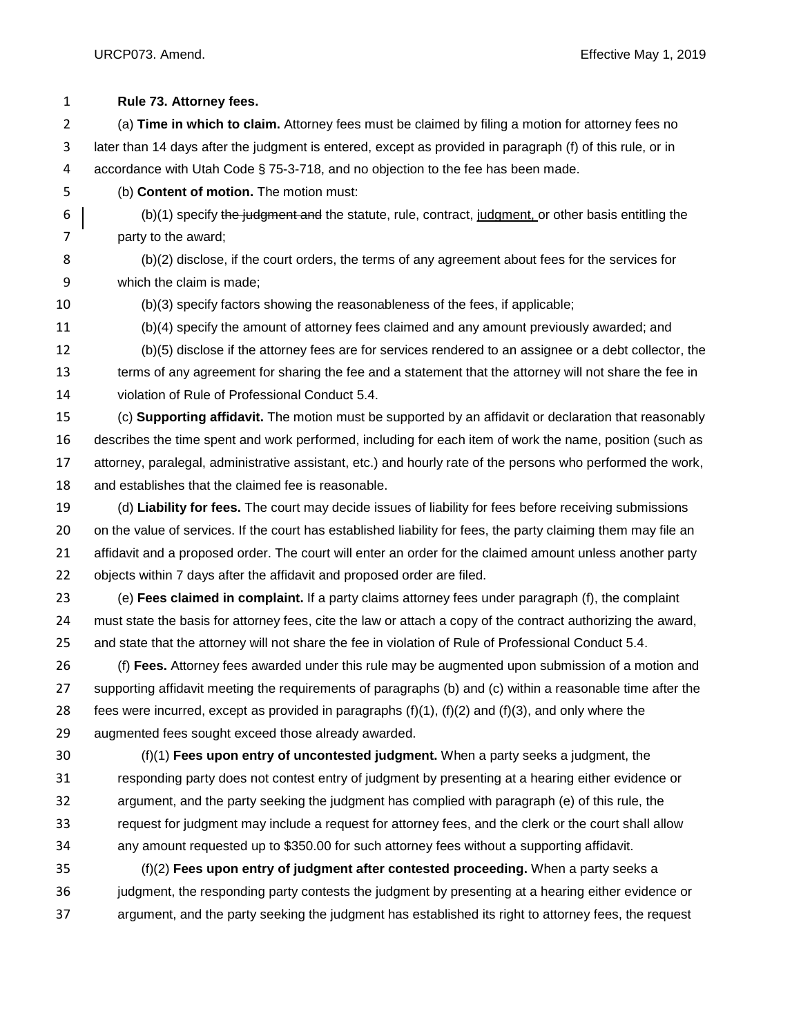URCP073. Amend. Effective May 1, 2019

| $\mathbf{1}$   | Rule 73. Attorney fees.                                                                                        |
|----------------|----------------------------------------------------------------------------------------------------------------|
| 2              | (a) Time in which to claim. Attorney fees must be claimed by filing a motion for attorney fees no              |
| 3              | later than 14 days after the judgment is entered, except as provided in paragraph (f) of this rule, or in      |
| 4              | accordance with Utah Code § 75-3-718, and no objection to the fee has been made.                               |
| 5              | (b) Content of motion. The motion must:                                                                        |
| 6              | (b)(1) specify the judgment and the statute, rule, contract, judgment, or other basis entitling the            |
| $\overline{7}$ | party to the award;                                                                                            |
| 8              | (b)(2) disclose, if the court orders, the terms of any agreement about fees for the services for               |
| 9              | which the claim is made;                                                                                       |
| 10             | (b)(3) specify factors showing the reasonableness of the fees, if applicable;                                  |
| 11             | (b)(4) specify the amount of attorney fees claimed and any amount previously awarded; and                      |
| 12             | (b)(5) disclose if the attorney fees are for services rendered to an assignee or a debt collector, the         |
| 13             | terms of any agreement for sharing the fee and a statement that the attorney will not share the fee in         |
| 14             | violation of Rule of Professional Conduct 5.4.                                                                 |
| 15             | (c) Supporting affidavit. The motion must be supported by an affidavit or declaration that reasonably          |
| 16             | describes the time spent and work performed, including for each item of work the name, position (such as       |
| 17             | attorney, paralegal, administrative assistant, etc.) and hourly rate of the persons who performed the work,    |
| 18             | and establishes that the claimed fee is reasonable.                                                            |
| 19             | (d) Liability for fees. The court may decide issues of liability for fees before receiving submissions         |
| 20             | on the value of services. If the court has established liability for fees, the party claiming them may file an |
| 21             | affidavit and a proposed order. The court will enter an order for the claimed amount unless another party      |
| 22             | objects within 7 days after the affidavit and proposed order are filed.                                        |
| 23             | (e) Fees claimed in complaint. If a party claims attorney fees under paragraph (f), the complaint              |
| 24             | must state the basis for attorney fees, cite the law or attach a copy of the contract authorizing the award,   |
| 25             | and state that the attorney will not share the fee in violation of Rule of Professional Conduct 5.4.           |
| 26             | (f) Fees. Attorney fees awarded under this rule may be augmented upon submission of a motion and               |
| 27             | supporting affidavit meeting the requirements of paragraphs (b) and (c) within a reasonable time after the     |
| 28             | fees were incurred, except as provided in paragraphs $(f)(1)$ , $(f)(2)$ and $(f)(3)$ , and only where the     |
| 29             | augmented fees sought exceed those already awarded.                                                            |
| 30             | $(f)(1)$ Fees upon entry of uncontested judgment. When a party seeks a judgment, the                           |
| 31             | responding party does not contest entry of judgment by presenting at a hearing either evidence or              |
| 32             | argument, and the party seeking the judgment has complied with paragraph (e) of this rule, the                 |
| 33             | request for judgment may include a request for attorney fees, and the clerk or the court shall allow           |
| 34             | any amount requested up to \$350.00 for such attorney fees without a supporting affidavit.                     |
| 35             | $(f)(2)$ Fees upon entry of judgment after contested proceeding. When a party seeks a                          |
| 36             | judgment, the responding party contests the judgment by presenting at a hearing either evidence or             |
| 37             | argument, and the party seeking the judgment has established its right to attorney fees, the request           |
|                |                                                                                                                |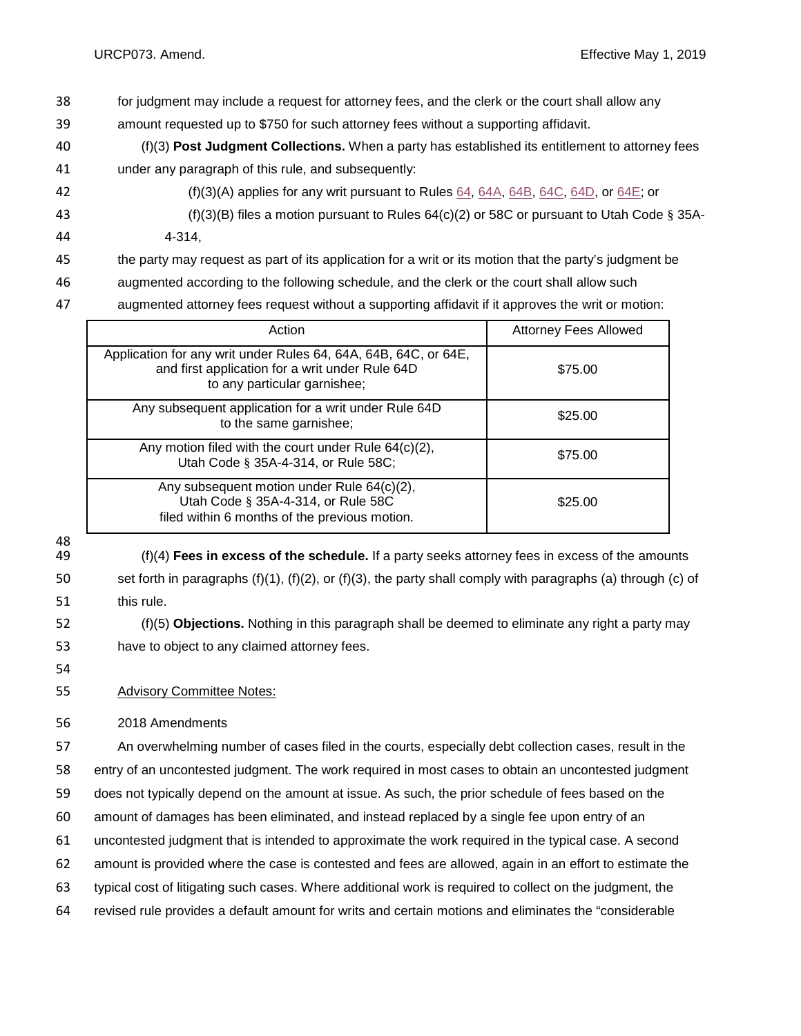- for judgment may include a request for attorney fees, and the clerk or the court shall allow any
- amount requested up to \$750 for such attorney fees without a supporting affidavit.
- (f)(3) **Post Judgment Collections.** When a party has established its entitlement to attorney fees under any paragraph of this rule, and subsequently:
- 42 (f)(3)(A) applies for any writ pursuant to Rules [64,](http://www.utcourts.gov/resources/rules/urcp/urcp064.html) [64A,](http://www.utcourts.gov/resources/rules/urcp/urcp064A.html) [64B,](http://www.utcourts.gov/resources/rules/urcp/urcp064B.html) [64C,](http://www.utcourts.gov/resources/rules/urcp/urcp064C.html) [64D,](http://www.utcourts.gov/resources/rules/urcp/urcp064D.html) or [64E;](http://www.utcourts.gov/resources/rules/urcp/urcp064E.html) or
- (f)(3)(B) files a motion pursuant to Rules 64(c)(2) or 58C or pursuant to Utah Code § 35A-
- 4-314,
- the party may request as part of its application for a writ or its motion that the party's judgment be
- augmented according to the following schedule, and the clerk or the court shall allow such
- augmented attorney fees request without a supporting affidavit if it approves the writ or motion:

| Action                                                                                                                                             | <b>Attorney Fees Allowed</b> |
|----------------------------------------------------------------------------------------------------------------------------------------------------|------------------------------|
| Application for any writ under Rules 64, 64A, 64B, 64C, or 64E,<br>and first application for a writ under Rule 64D<br>to any particular garnishee; | \$75.00                      |
| Any subsequent application for a writ under Rule 64D<br>to the same garnishee;                                                                     | \$25.00                      |
| Any motion filed with the court under Rule $64(c)(2)$ ,<br>Utah Code § 35A-4-314, or Rule 58C;                                                     | \$75.00                      |
| Any subsequent motion under Rule 64(c)(2),<br>Utah Code § 35A-4-314, or Rule 58C<br>filed within 6 months of the previous motion.                  | \$25.00                      |

 (f)(4) **Fees in excess of the schedule.** If a party seeks attorney fees in excess of the amounts set forth in paragraphs (f)(1), (f)(2), or (f)(3), the party shall comply with paragraphs (a) through (c) of this rule.

 (f)(5) **Objections.** Nothing in this paragraph shall be deemed to eliminate any right a party may have to object to any claimed attorney fees.

Advisory Committee Notes:

2018 Amendments

 An overwhelming number of cases filed in the courts, especially debt collection cases, result in the entry of an uncontested judgment. The work required in most cases to obtain an uncontested judgment does not typically depend on the amount at issue. As such, the prior schedule of fees based on the amount of damages has been eliminated, and instead replaced by a single fee upon entry of an uncontested judgment that is intended to approximate the work required in the typical case. A second amount is provided where the case is contested and fees are allowed, again in an effort to estimate the typical cost of litigating such cases. Where additional work is required to collect on the judgment, the

revised rule provides a default amount for writs and certain motions and eliminates the "considerable